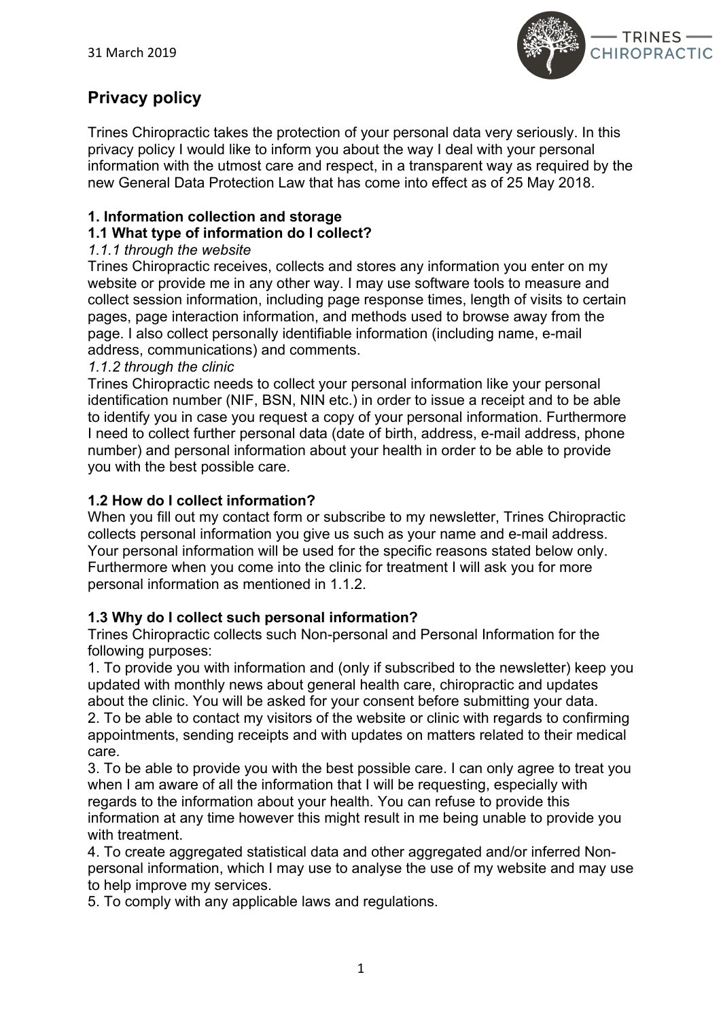

# **Privacy policy**

Trines Chiropractic takes the protection of your personal data very seriously. In this privacy policy I would like to inform you about the way I deal with your personal information with the utmost care and respect, in a transparent way as required by the new General Data Protection Law that has come into effect as of 25 May 2018.

# **1. Information collection and storage**

# **1.1 What type of information do I collect?**

# *1.1.1 through the website*

Trines Chiropractic receives, collects and stores any information you enter on my website or provide me in any other way. I may use software tools to measure and collect session information, including page response times, length of visits to certain pages, page interaction information, and methods used to browse away from the page. I also collect personally identifiable information (including name, e-mail address, communications) and comments.

# *1.1.2 through the clinic*

Trines Chiropractic needs to collect your personal information like your personal identification number (NIF, BSN, NIN etc.) in order to issue a receipt and to be able to identify you in case you request a copy of your personal information. Furthermore I need to collect further personal data (date of birth, address, e-mail address, phone number) and personal information about your health in order to be able to provide you with the best possible care.

# **1.2 How do I collect information?**

When you fill out my contact form or subscribe to my newsletter, Trines Chiropractic collects personal information you give us such as your name and e-mail address. Your personal information will be used for the specific reasons stated below only. Furthermore when you come into the clinic for treatment I will ask you for more personal information as mentioned in 1.1.2.

# **1.3 Why do I collect such personal information?**

Trines Chiropractic collects such Non-personal and Personal Information for the following purposes:

1. To provide you with information and (only if subscribed to the newsletter) keep you updated with monthly news about general health care, chiropractic and updates about the clinic. You will be asked for your consent before submitting your data. 2. To be able to contact my visitors of the website or clinic with regards to confirming appointments, sending receipts and with updates on matters related to their medical care.

3. To be able to provide you with the best possible care. I can only agree to treat you when I am aware of all the information that I will be requesting, especially with regards to the information about your health. You can refuse to provide this information at any time however this might result in me being unable to provide you with treatment.

4. To create aggregated statistical data and other aggregated and/or inferred Nonpersonal information, which I may use to analyse the use of my website and may use to help improve my services.

5. To comply with any applicable laws and regulations.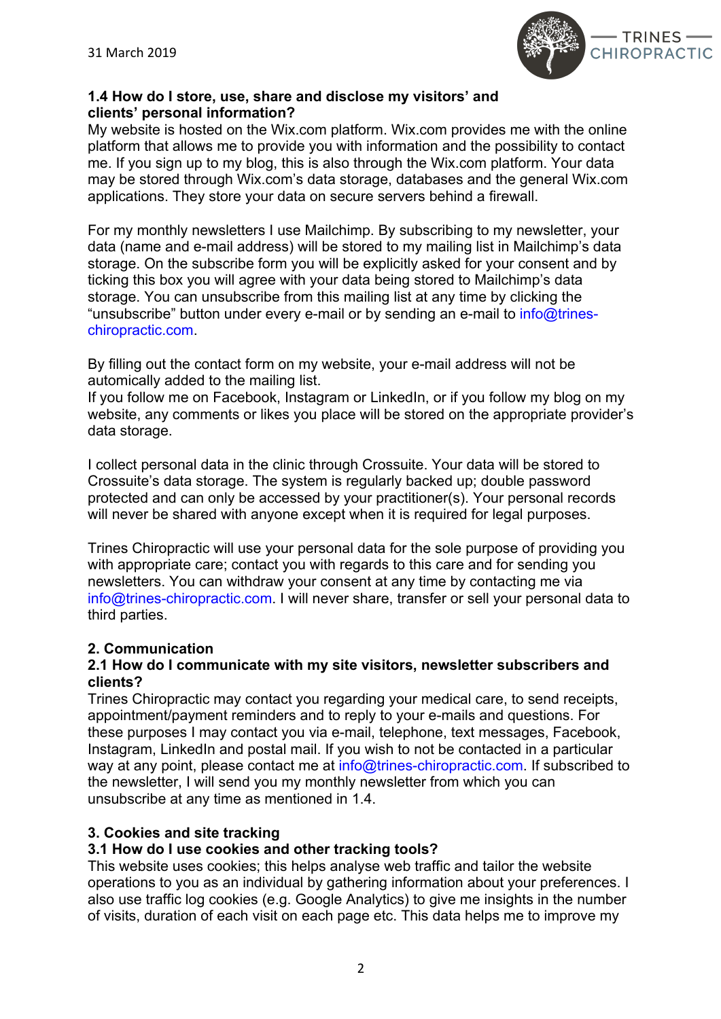

# **1.4 How do I store, use, share and disclose my visitors' and clients' personal information?**

My website is hosted on the Wix.com platform. Wix.com provides me with the online platform that allows me to provide you with information and the possibility to contact me. If you sign up to my blog, this is also through the Wix.com platform. Your data may be stored through Wix.com's data storage, databases and the general Wix.com applications. They store your data on secure servers behind a firewall.

For my monthly newsletters I use Mailchimp. By subscribing to my newsletter, your data (name and e-mail address) will be stored to my mailing list in Mailchimp's data storage. On the subscribe form you will be explicitly asked for your consent and by ticking this box you will agree with your data being stored to Mailchimp's data storage. You can unsubscribe from this mailing list at any time by clicking the "unsubscribe" button under every e-mail or by sending an e-mail to *info@trines*chiropractic.com.

By filling out the contact form on my website, your e-mail address will not be automically added to the mailing list.

If you follow me on Facebook, Instagram or LinkedIn, or if you follow my blog on my website, any comments or likes you place will be stored on the appropriate provider's data storage.

I collect personal data in the clinic through Crossuite. Your data will be stored to Crossuite's data storage. The system is regularly backed up; double password protected and can only be accessed by your practitioner(s). Your personal records will never be shared with anyone except when it is required for legal purposes.

Trines Chiropractic will use your personal data for the sole purpose of providing you with appropriate care; contact you with regards to this care and for sending you newsletters. You can withdraw your consent at any time by contacting me via info@trines-chiropractic.com. I will never share, transfer or sell your personal data to third parties.

# **2. Communication**

#### **2.1 How do I communicate with my site visitors, newsletter subscribers and clients?**

Trines Chiropractic may contact you regarding your medical care, to send receipts, appointment/payment reminders and to reply to your e-mails and questions. For these purposes I may contact you via e-mail, telephone, text messages, Facebook, Instagram, LinkedIn and postal mail. If you wish to not be contacted in a particular way at any point, please contact me at info@trines-chiropractic.com. If subscribed to the newsletter, I will send you my monthly newsletter from which you can unsubscribe at any time as mentioned in 1.4.

# **3. Cookies and site tracking**

# **3.1 How do I use cookies and other tracking tools?**

This website uses cookies; this helps analyse web traffic and tailor the website operations to you as an individual by gathering information about your preferences. I also use traffic log cookies (e.g. Google Analytics) to give me insights in the number of visits, duration of each visit on each page etc. This data helps me to improve my